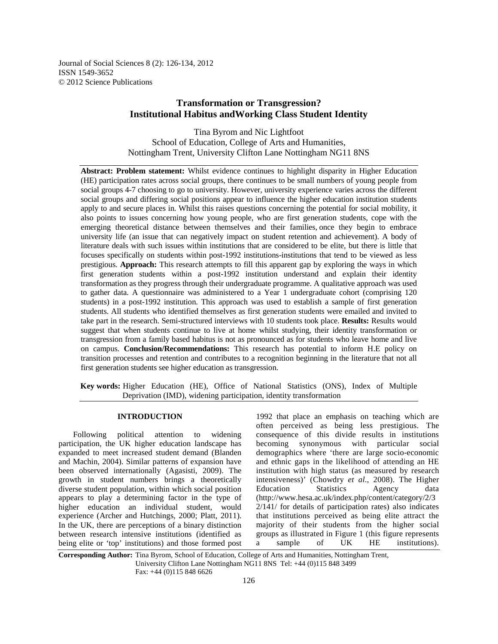Journal of Social Sciences 8 (2): 126-134, 2012 ISSN 1549-3652 © 2012 Science Publications

# **Transformation or Transgression? Institutional Habitus andWorking Class Student Identity**

Tina Byrom and Nic Lightfoot School of Education, College of Arts and Humanities, Nottingham Trent, University Clifton Lane Nottingham NG11 8NS

**Abstract: Problem statement:** Whilst evidence continues to highlight disparity in Higher Education (HE) participation rates across social groups, there continues to be small numbers of young people from social groups 4-7 choosing to go to university. However, university experience varies across the different social groups and differing social positions appear to influence the higher education institution students apply to and secure places in. Whilst this raises questions concerning the potential for social mobility, it also points to issues concerning how young people, who are first generation students, cope with the emerging theoretical distance between themselves and their families, once they begin to embrace university life (an issue that can negatively impact on student retention and achievement). A body of literature deals with such issues within institutions that are considered to be elite, but there is little that focuses specifically on students within post-1992 institutions-institutions that tend to be viewed as less prestigious. **Approach:** This research attempts to fill this apparent gap by exploring the ways in which first generation students within a post-1992 institution understand and explain their identity transformation as they progress through their undergraduate programme. A qualitative approach was used to gather data. A questionnaire was administered to a Year 1 undergraduate cohort (comprising 120 students) in a post-1992 institution. This approach was used to establish a sample of first generation students. All students who identified themselves as first generation students were emailed and invited to take part in the research. Semi-structured interviews with 10 students took place. **Results:** Results would suggest that when students continue to live at home whilst studying, their identity transformation or transgression from a family based habitus is not as pronounced as for students who leave home and live on campus. **Conclusion/Recommendations:** This research has potential to inform H.E policy on transition processes and retention and contributes to a recognition beginning in the literature that not all first generation students see higher education as transgression.

**Key words:** Higher Education (HE), Office of National Statistics (ONS), Index of Multiple Deprivation (IMD), widening participation, identity transformation

## **INTRODUCTION**

 Following political attention to widening participation, the UK higher education landscape has expanded to meet increased student demand (Blanden and Machin, 2004). Similar patterns of expansion have been observed internationally (Agasisti, 2009). The growth in student numbers brings a theoretically diverse student population, within which social position appears to play a determining factor in the type of higher education an individual student, would experience (Archer and Hutchings, 2000; Platt, 2011). In the UK, there are perceptions of a binary distinction between research intensive institutions (identified as being elite or 'top' institutions) and those formed post

1992 that place an emphasis on teaching which are often perceived as being less prestigious. The consequence of this divide results in institutions becoming synonymous with particular social demographics where 'there are large socio-economic and ethnic gaps in the likelihood of attending an HE institution with high status (as measured by research intensiveness)' (Chowdry *et al*., 2008). The Higher Education Statistics Agency data (http://www.hesa.ac.uk/index.php/content/category/2/3 2/141/ for details of participation rates) also indicates that institutions perceived as being elite attract the majority of their students from the higher social groups as illustrated in Figure 1 (this figure represents a sample of UK HE institutions).

**Corresponding Author:** Tina Byrom, School of Education, College of Arts and Humanities, Nottingham Trent, University Clifton Lane Nottingham NG11 8NS Tel: +44 (0)115 848 3499 Fax: +44 (0)115 848 6626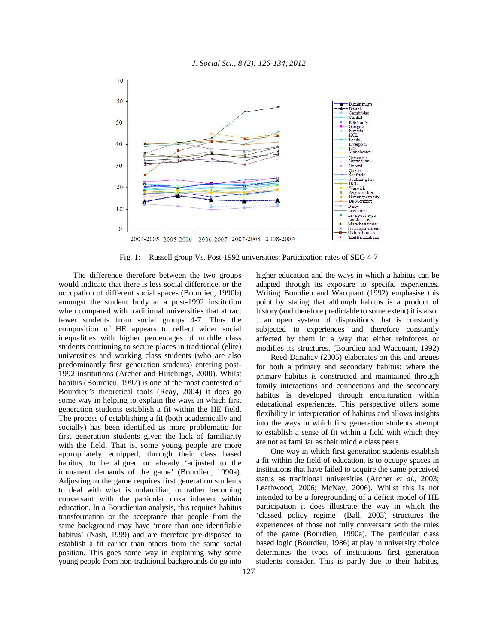

Fig. 1: Russell group Vs. Post-1992 universities: Participation rates of SEG 4-7

 The difference therefore between the two groups would indicate that there is less social difference, or the occupation of different social spaces (Bourdieu, 1990b) amongst the student body at a post-1992 institution when compared with traditional universities that attract fewer students from social groups 4-7. Thus the composition of HE appears to reflect wider social inequalities with higher percentages of middle class students continuing to secure places in traditional (elite) universities and working class students (who are also predominantly first generation students) entering post-1992 institutions (Archer and Hutchings, 2000). Whilst habitus (Bourdieu, 1997) is one of the most contested of Bourdieu's theoretical tools (Reay, 2004) it does go some way in helping to explain the ways in which first generation students establish a fit within the HE field. The process of establishing a fit (both academically and socially) has been identified as more problematic for first generation students given the lack of familiarity with the field. That is, some young people are more appropriately equipped, through their class based habitus, to be aligned or already 'adjusted to the immanent demands of the game' (Bourdieu, 1990a). Adjusting to the game requires first generation students to deal with what is unfamiliar, or rather becoming conversant with the particular doxa inherent within education. In a Bourdieuian analysis, this requires habitus transformation or the acceptance that people from the same background may have 'more than one identifiable habitus' (Nash, 1999) and are therefore pre-disposed to establish a fit earlier than others from the same social position. This goes some way in explaining why some young people from non-traditional backgrounds do go into

higher education and the ways in which a habitus can be adapted through its exposure to specific experiences. Writing Bourdieu and Wacquant (1992) emphasise this point by stating that although habitus is a product of history (and therefore predictable to some extent) it is also …an open system of dispositions that is constantly subjected to experiences and therefore constantly affected by them in a way that either reinforces or modifies its structures. (Bourdieu and Wacquant, 1992)

 Reed-Danahay (2005) elaborates on this and argues for both a primary and secondary habitus: where the primary habitus is constructed and maintained through family interactions and connections and the secondary habitus is developed through enculturation within educational experiences. This perspective offers some flexibility in interpretation of habitus and allows insights into the ways in which first generation students attempt to establish a sense of fit within a field with which they are not as familiar as their middle class peers.

 One way in which first generation students establish a fit within the field of education, is to occupy spaces in institutions that have failed to acquire the same perceived status as traditional universities (Archer *et al*., 2003; Leathwood, 2006; McNay, 2006). Whilst this is not intended to be a foregrounding of a deficit model of HE participation it does illustrate the way in which the 'classed policy regime' (Ball, 2003) structures the experiences of those not fully conversant with the rules of the game (Bourdieu, 1990a). The particular class based logic (Bourdieu, 1986) at play in university choice determines the types of institutions first generation students consider. This is partly due to their habitus,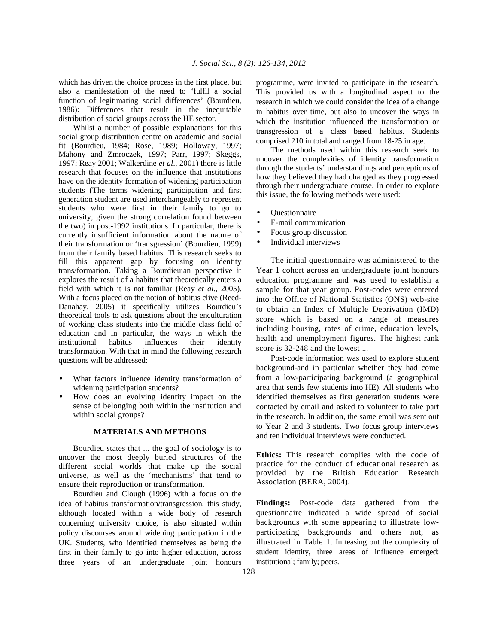which has driven the choice process in the first place, but also a manifestation of the need to 'fulfil a social function of legitimating social differences' (Bourdieu, 1986): Differences that result in the inequitable distribution of social groups across the HE sector.

 Whilst a number of possible explanations for this social group distribution centre on academic and social fit (Bourdieu, 1984; Rose, 1989; Holloway, 1997; Mahony and Zmroczek, 1997; Parr, 1997; Skeggs, 1997; Reay 2001; Walkerdine *et al*., 2001) there is little research that focuses on the influence that institutions have on the identity formation of widening participation students (The terms widening participation and first generation student are used interchangeably to represent students who were first in their family to go to university, given the strong correlation found between the two) in post-1992 institutions. In particular, there is currently insufficient information about the nature of their transformation or 'transgression' (Bourdieu, 1999) from their family based habitus. This research seeks to fill this apparent gap by focusing on identity trans/formation. Taking a Bourdieuian perspective it explores the result of a habitus that theoretically enters a field with which it is not familiar (Reay *et al*., 2005). With a focus placed on the notion of habitus clive (Reed-Danahay, 2005) it specifically utilizes Bourdieu's theoretical tools to ask questions about the enculturation of working class students into the middle class field of education and in particular, the ways in which the institutional habitus influences their identity transformation. With that in mind the following research questions will be addressed:

- What factors influence identity transformation of widening participation students?
- How does an evolving identity impact on the sense of belonging both within the institution and within social groups?

#### **MATERIALS AND METHODS**

 Bourdieu states that ... the goal of sociology is to uncover the most deeply buried structures of the different social worlds that make up the social universe, as well as the 'mechanisms' that tend to ensure their reproduction or transformation.

 Bourdieu and Clough (1996) with a focus on the idea of habitus transformation/transgression, this study, although located within a wide body of research concerning university choice, is also situated within policy discourses around widening participation in the UK. Students, who identified themselves as being the first in their family to go into higher education, across three years of an undergraduate joint honours

programme, were invited to participate in the research. This provided us with a longitudinal aspect to the research in which we could consider the idea of a change in habitus over time, but also to uncover the ways in which the institution influenced the transformation or transgression of a class based habitus. Students comprised 210 in total and ranged from 18-25 in age.

 The methods used within this research seek to uncover the complexities of identity transformation through the students' understandings and perceptions of how they believed they had changed as they progressed through their undergraduate course. In order to explore this issue, the following methods were used:

- Questionnaire
- E-mail communication
- Focus group discussion
- Individual interviews

 The initial questionnaire was administered to the Year 1 cohort across an undergraduate joint honours education programme and was used to establish a sample for that year group. Post-codes were entered into the Office of National Statistics (ONS) web-site to obtain an Index of Multiple Deprivation (IMD) score which is based on a range of measures including housing, rates of crime, education levels, health and unemployment figures. The highest rank score is 32-248 and the lowest 1.

 Post-code information was used to explore student background-and in particular whether they had come from a low-participating background (a geographical area that sends few students into HE). All students who identified themselves as first generation students were contacted by email and asked to volunteer to take part in the research. In addition, the same email was sent out to Year 2 and 3 students. Two focus group interviews and ten individual interviews were conducted.

**Ethics:** This research complies with the code of practice for the conduct of educational research as provided by the British Education Research Association (BERA, 2004).

**Findings:** Post-code data gathered from the questionnaire indicated a wide spread of social backgrounds with some appearing to illustrate lowparticipating backgrounds and others not, as illustrated in Table 1. In teasing out the complexity of student identity, three areas of influence emerged: institutional; family; peers.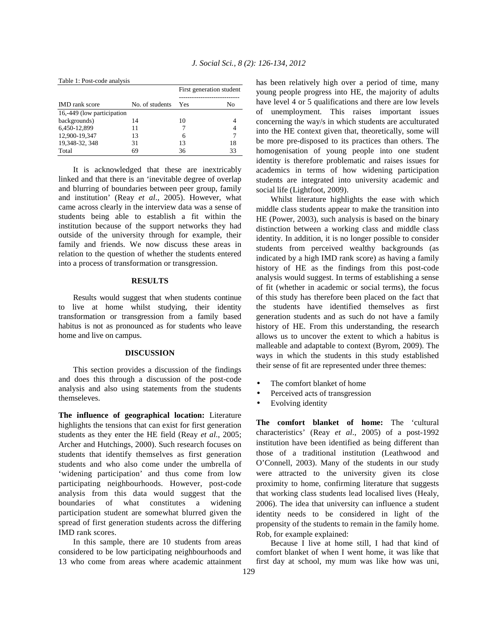| <b>IMD</b> rank score      | No. of students | First generation student |    |
|----------------------------|-----------------|--------------------------|----|
|                            |                 | - Yes                    | No |
| 16,-449 (low participation |                 |                          |    |
| backgrounds)               | 14              | 10                       |    |
| 6.450-12.899               | 11              |                          |    |
| 12,900-19,347              | 13              | 6                        |    |
| 19,348-32, 348             | 31              | 13                       | 18 |
| Total                      | 69              | 36                       | 33 |

 It is acknowledged that these are inextricably linked and that there is an 'inevitable degree of overlap and blurring of boundaries between peer group, family and institution' (Reay *et al*., 2005). However, what came across clearly in the interview data was a sense of students being able to establish a fit within the institution because of the support networks they had outside of the university through for example, their family and friends. We now discuss these areas in relation to the question of whether the students entered into a process of transformation or transgression.

#### **RESULTS**

 Results would suggest that when students continue to live at home whilst studying, their identity transformation or transgression from a family based habitus is not as pronounced as for students who leave home and live on campus.

## **DISCUSSION**

 This section provides a discussion of the findings and does this through a discussion of the post-code analysis and also using statements from the students themseleves.

**The influence of geographical location:** Literature highlights the tensions that can exist for first generation students as they enter the HE field (Reay *et al*., 2005; Archer and Hutchings, 2000). Such research focuses on students that identify themselves as first generation students and who also come under the umbrella of 'widening participation' and thus come from low participating neighbourhoods. However, post-code analysis from this data would suggest that the boundaries of what constitutes a widening participation student are somewhat blurred given the spread of first generation students across the differing IMD rank scores.

 In this sample, there are 10 students from areas considered to be low participating neighbourhoods and 13 who come from areas where academic attainment has been relatively high over a period of time, many young people progress into HE, the majority of adults have level 4 or 5 qualifications and there are low levels of unemployment. This raises important issues concerning the way/s in which students are acculturated into the HE context given that, theoretically, some will be more pre-disposed to its practices than others. The homogenisation of young people into one student identity is therefore problematic and raises issues for academics in terms of how widening participation students are integrated into university academic and social life (Lightfoot, 2009).

 Whilst literature highlights the ease with which middle class students appear to make the transition into HE (Power, 2003), such analysis is based on the binary distinction between a working class and middle class identity. In addition, it is no longer possible to consider students from perceived wealthy backgrounds (as indicated by a high IMD rank score) as having a family history of HE as the findings from this post-code analysis would suggest. In terms of establishing a sense of fit (whether in academic or social terms), the focus of this study has therefore been placed on the fact that the students have identified themselves as first generation students and as such do not have a family history of HE. From this understanding, the research allows us to uncover the extent to which a habitus is malleable and adaptable to context (Byrom, 2009). The ways in which the students in this study established their sense of fit are represented under three themes:

- The comfort blanket of home
- Perceived acts of transgression
- Evolving identity

**The comfort blanket of home:** The 'cultural characteristics' (Reay *et al*., 2005) of a post-1992 institution have been identified as being different than those of a traditional institution (Leathwood and O'Connell, 2003). Many of the students in our study were attracted to the university given its close proximity to home, confirming literature that suggests that working class students lead localised lives (Healy, 2006). The idea that university can influence a student identity needs to be considered in light of the propensity of the students to remain in the family home. Rob, for example explained:

 Because I live at home still, I had that kind of comfort blanket of when I went home, it was like that first day at school, my mum was like how was uni,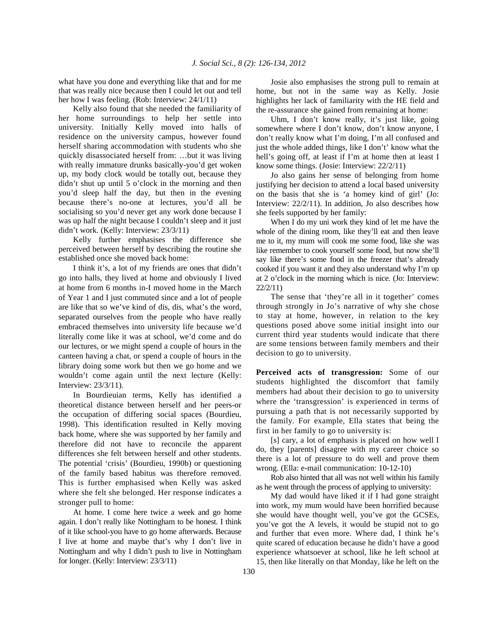what have you done and everything like that and for me that was really nice because then I could let out and tell her how I was feeling. (Rob: Interview: 24/1/11)

 Kelly also found that she needed the familiarity of her home surroundings to help her settle into university. Initially Kelly moved into halls of residence on the university campus, however found herself sharing accommodation with students who she quickly disassociated herself from: …but it was living with really immature drunks basically-you'd get woken up, my body clock would be totally out, because they didn't shut up until 5 o'clock in the morning and then you'd sleep half the day, but then in the evening because there's no-one at lectures, you'd all be socialising so you'd never get any work done because I was up half the night because I couldn't sleep and it just didn't work. (Kelly: Interview: 23/3/11)

 Kelly further emphasises the difference she perceived between herself by describing the routine she established once she moved back home:

 I think it's, a lot of my friends are ones that didn't go into halls, they lived at home and obviously I lived at home from 6 months in-I moved home in the March of Year 1 and I just commuted since and a lot of people are like that so we've kind of dis, dis, what's the word, separated ourselves from the people who have really embraced themselves into university life because we'd literally come like it was at school, we'd come and do our lectures, or we might spend a couple of hours in the canteen having a chat, or spend a couple of hours in the library doing some work but then we go home and we wouldn't come again until the next lecture (Kelly: Interview: 23/3/11).

 In Bourdieuian terms, Kelly has identified a theoretical distance between herself and her peers-or the occupation of differing social spaces (Bourdieu, 1998). This identification resulted in Kelly moving back home, where she was supported by her family and therefore did not have to reconcile the apparent differences she felt between herself and other students. The potential 'crisis' (Bourdieu, 1990b) or questioning of the family based habitus was therefore removed. This is further emphasised when Kelly was asked where she felt she belonged. Her response indicates a stronger pull to home:

 At home. I come here twice a week and go home again. I don't really like Nottingham to be honest. I think of it like school-you have to go home afterwards. Because I live at home and maybe that's why I don't live in Nottingham and why I didn't push to live in Nottingham for longer. (Kelly: Interview: 23/3/11)

 Josie also emphasises the strong pull to remain at home, but not in the same way as Kelly. Josie highlights her lack of familiarity with the HE field and the re-assurance she gained from remaining at home:

 Uhm, I don't know really, it's just like, going somewhere where I don't know, don't know anyone, I don't really know what I'm doing, I'm all confused and just the whole added things, like I don't' know what the hell's going off, at least if I'm at home then at least I know some things. (Josie: Interview: 22/2/11)

 Jo also gains her sense of belonging from home justifying her decision to attend a local based university on the basis that she is 'a homey kind of girl' (Jo: Interview: 22/2/11). In addition, Jo also describes how she feels supported by her family:

 When I do my uni work they kind of let me have the whole of the dining room, like they'll eat and then leave me to it, my mum will cook me some food, like she was like remember to cook yourself some food, but now she'll say like there's some food in the freezer that's already cooked if you want it and they also understand why I'm up at 2 o'clock in the morning which is nice. (Jo: Interview: 22/2/11)

 The sense that 'they're all in it together' comes through strongly in Jo's narrative of why she chose to stay at home, however, in relation to the key questions posed above some initial insight into our current third year students would indicate that there are some tensions between family members and their decision to go to university.

**Perceived acts of transgression:** Some of our students highlighted the discomfort that family members had about their decision to go to university where the 'transgression' is experienced in terms of pursuing a path that is not necessarily supported by the family. For example, Ella states that being the first in her family to go to university is:

 [s] cary, a lot of emphasis is placed on how well I do, they [parents] disagree with my career choice so there is a lot of pressure to do well and prove them wrong. (Ella: e-mail communication: 10-12-10)

 Rob also hinted that all was not well within his family as he went through the process of applying to university:

 My dad would have liked it if I had gone straight into work, my mum would have been horrified because she would have thought well, you've got the GCSEs, you've got the A levels, it would be stupid not to go and further that even more. Where dad, I think he's quite scared of education because he didn't have a good experience whatsoever at school, like he left school at 15, then like literally on that Monday, like he left on the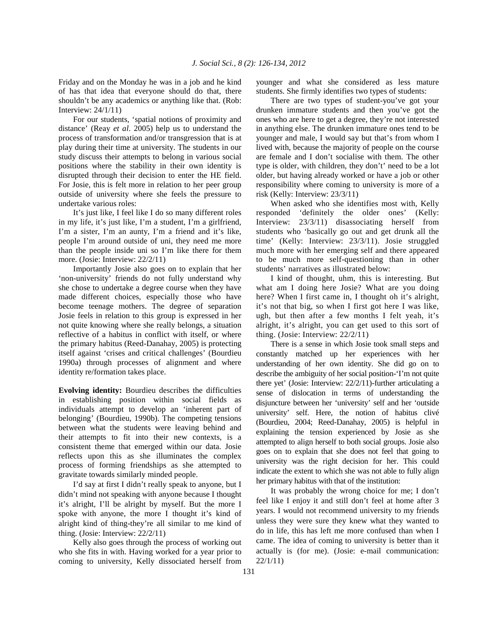Friday and on the Monday he was in a job and he kind of has that idea that everyone should do that, there shouldn't be any academics or anything like that. (Rob: Interview: 24/1/11)

 For our students, 'spatial notions of proximity and distance' (Reay *et al*. 2005) help us to understand the process of transformation and/or transgression that is at play during their time at university. The students in our study discuss their attempts to belong in various social positions where the stability in their own identity is disrupted through their decision to enter the HE field. For Josie, this is felt more in relation to her peer group outside of university where she feels the pressure to undertake various roles:

 It's just like, I feel like I do so many different roles in my life, it's just like, I'm a student, I'm a girlfriend, I'm a sister, I'm an aunty, I'm a friend and it's like, people I'm around outside of uni, they need me more than the people inside uni so I'm like there for them more. (Josie: Interview: 22/2/11)

 Importantly Josie also goes on to explain that her 'non-university' friends do not fully understand why she chose to undertake a degree course when they have made different choices, especially those who have become teenage mothers. The degree of separation Josie feels in relation to this group is expressed in her not quite knowing where she really belongs, a situation reflective of a habitus in conflict with itself, or where the primary habitus (Reed-Danahay, 2005) is protecting itself against 'crises and critical challenges' (Bourdieu 1990a) through processes of alignment and where identity re/formation takes place.

**Evolving identity:** Bourdieu describes the difficulties in establishing position within social fields as individuals attempt to develop an 'inherent part of belonging' (Bourdieu, 1990b). The competing tensions between what the students were leaving behind and their attempts to fit into their new contexts, is a consistent theme that emerged within our data. Josie reflects upon this as she illuminates the complex process of forming friendships as she attempted to gravitate towards similarly minded people.

 I'd say at first I didn't really speak to anyone, but I didn't mind not speaking with anyone because I thought it's alright, I'll be alright by myself. But the more I spoke with anyone, the more I thought it's kind of alright kind of thing-they're all similar to me kind of thing. (Josie: Interview: 22/2/11)

 Kelly also goes through the process of working out who she fits in with. Having worked for a year prior to coming to university, Kelly dissociated herself from younger and what she considered as less mature students. She firmly identifies two types of students:

 There are two types of student-you've got your drunken immature students and then you've got the ones who are here to get a degree, they're not interested in anything else. The drunken immature ones tend to be younger and male, I would say but that's from whom I lived with, because the majority of people on the course are female and I don't socialise with them. The other type is older, with children, they don't' need to be a lot older, but having already worked or have a job or other responsibility where coming to university is more of a risk (Kelly: Interview: 23/3/11)

 When asked who she identifies most with, Kelly responded 'definitely the older ones' (Kelly: Interview: 23/3/11) disassociating herself from students who 'basically go out and get drunk all the time' (Kelly: Interview: 23/3/11). Josie struggled much more with her emerging self and there appeared to be much more self-questioning than in other students' narratives as illustrated below:

 I kind of thought, uhm, this is interesting. But what am I doing here Josie? What are you doing here? When I first came in, I thought oh it's alright, it's not that big, so when I first got here I was like, ugh, but then after a few months I felt yeah, it's alright, it's alright, you can get used to this sort of thing. (Josie: Interview: 22/2/11)

 There is a sense in which Josie took small steps and constantly matched up her experiences with her understanding of her own identity. She did go on to describe the ambiguity of her social position-'I'm not quite there yet' (Josie: Interview: 22/2/11)-further articulating a sense of dislocation in terms of understanding the disjuncture between her 'university' self and her 'outside university' self. Here, the notion of habitus clivé (Bourdieu, 2004; Reed-Danahay, 2005) is helpful in explaining the tension experienced by Josie as she attempted to align herself to both social groups. Josie also goes on to explain that she does not feel that going to university was the right decision for her. This could indicate the extent to which she was not able to fully align her primary habitus with that of the institution:

 It was probably the wrong choice for me; I don't feel like I enjoy it and still don't feel at home after 3 years. I would not recommend university to my friends unless they were sure they knew what they wanted to do in life, this has left me more confused than when I came. The idea of coming to university is better than it actually is (for me). (Josie: e-mail communication: 22/1/11)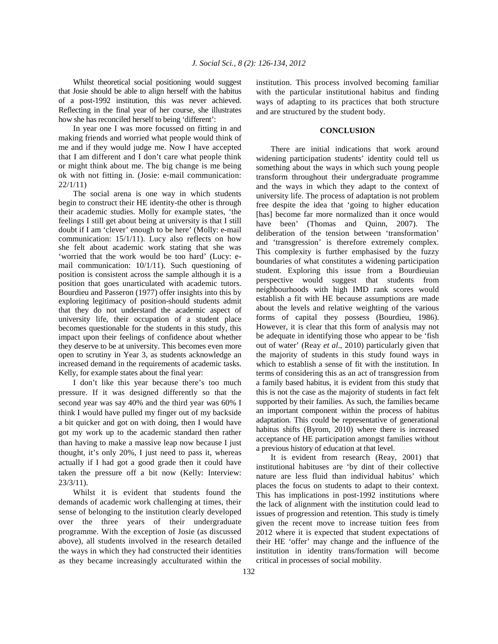Whilst theoretical social positioning would suggest that Josie should be able to align herself with the habitus of a post-1992 institution, this was never achieved. Reflecting in the final year of her course, she illustrates how she has reconciled herself to being 'different':

 In year one I was more focussed on fitting in and making friends and worried what people would think of me and if they would judge me. Now I have accepted that I am different and I don't care what people think or might think about me. The big change is me being ok with not fitting in. (Josie: e-mail communication: 22/1/11)

 The social arena is one way in which students begin to construct their HE identity-the other is through their academic studies. Molly for example states, 'the feelings I still get about being at university is that I still doubt if I am 'clever' enough to be here' (Molly: e-mail communication: 15/1/11). Lucy also reflects on how she felt about academic work stating that she was 'worried that the work would be too hard' (Lucy: email communication: 10/1/11). Such questioning of position is consistent across the sample although it is a position that goes unarticulated with academic tutors. Bourdieu and Passeron (1977) offer insights into this by exploring legitimacy of position-should students admit that they do not understand the academic aspect of university life, their occupation of a student place becomes questionable for the students in this study, this impact upon their feelings of confidence about whether they deserve to be at university. This becomes even more open to scrutiny in Year 3, as students acknowledge an increased demand in the requirements of academic tasks. Kelly, for example states about the final year:

 I don't like this year because there's too much pressure. If it was designed differently so that the second year was say 40% and the third year was 60% I think I would have pulled my finger out of my backside a bit quicker and got on with doing, then I would have got my work up to the academic standard then rather than having to make a massive leap now because I just thought, it's only 20%, I just need to pass it, whereas actually if I had got a good grade then it could have taken the pressure off a bit now (Kelly: Interview: 23/3/11).

 Whilst it is evident that students found the demands of academic work challenging at times, their sense of belonging to the institution clearly developed over the three years of their undergraduate programme. With the exception of Josie (as discussed above), all students involved in the research detailed the ways in which they had constructed their identities as they became increasingly acculturated within the institution. This process involved becoming familiar with the particular institutional habitus and finding ways of adapting to its practices that both structure and are structured by the student body.

## **CONCLUSION**

 There are initial indications that work around widening participation students' identity could tell us something about the ways in which such young people transform throughout their undergraduate programme and the ways in which they adapt to the context of university life. The process of adaptation is not problem free despite the idea that 'going to higher education [has] become far more normalized than it once would have been' (Thomas and Quinn, 2007). The deliberation of the tension between 'transformation' and 'transgression' is therefore extremely complex. This complexity is further emphasised by the fuzzy boundaries of what constitutes a widening participation student. Exploring this issue from a Bourdieuian perspective would suggest that students from neighbourhoods with high IMD rank scores would establish a fit with HE because assumptions are made about the levels and relative weighting of the various forms of capital they possess (Bourdieu, 1986). However, it is clear that this form of analysis may not be adequate in identifying those who appear to be 'fish out of water' (Reay *et al*., 2010) particularly given that the majority of students in this study found ways in which to establish a sense of fit with the institution. In terms of considering this as an act of transgression from a family based habitus, it is evident from this study that this is not the case as the majority of students in fact felt supported by their families. As such, the families became an important component within the process of habitus adaptation. This could be representative of generational habitus shifts (Byrom, 2010) where there is increased acceptance of HE participation amongst families without a previous history of education at that level.

 It is evident from research (Reay, 2001) that institutional habituses are 'by dint of their collective nature are less fluid than individual habitus' which places the focus on students to adapt to their context. This has implications in post-1992 institutions where the lack of alignment with the institution could lead to issues of progression and retention. This study is timely given the recent move to increase tuition fees from 2012 where it is expected that student expectations of their HE 'offer' may change and the influence of the institution in identity trans/formation will become critical in processes of social mobility.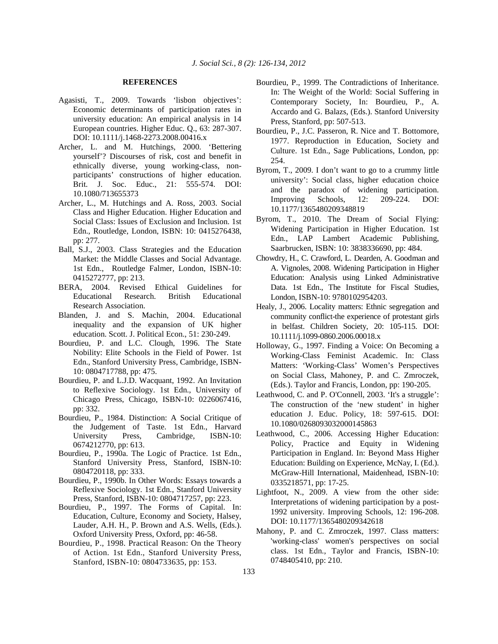#### **REFERENCES**

- Agasisti, T., 2009. Towards 'lisbon objectives': Economic determinants of participation rates in university education: An empirical analysis in 14 European countries. Higher Educ. Q., 63: 287-307. DOI: 10.1111/j.1468-2273.2008.00416.x
- Archer, L. and M. Hutchings, 2000. 'Bettering yourself'? Discourses of risk, cost and benefit in ethnically diverse, young working-class, nonparticipants' constructions of higher education. Brit. J. Soc. Educ., 21: 555-574. DOI: 10.1080/713655373
- Archer, L., M. Hutchings and A. Ross, 2003. Social Class and Higher Education. Higher Education and Social Class: Issues of Exclusion and Inclusion. 1st Edn., Routledge, London, ISBN: 10: 0415276438, pp: 277.
- Ball, S.J., 2003. Class Strategies and the Education Market: the Middle Classes and Social Advantage. 1st Edn., Routledge Falmer, London, ISBN-10: 0415272777, pp: 213.
- BERA, 2004. Revised Ethical Guidelines for Educational Research. British Educational Research Association.
- Blanden, J. and S. Machin, 2004. Educational inequality and the expansion of UK higher education. Scott. J. Political Econ., 51: 230-249.
- Bourdieu, P. and L.C. Clough, 1996. The State Nobility: Elite Schools in the Field of Power. 1st Edn., Stanford University Press, Cambridge, ISBN-10: 0804717788, pp: 475.
- Bourdieu, P. and L.J.D. Wacquant, 1992. An Invitation to Reflexive Sociology. 1st Edn., University of Chicago Press, Chicago, ISBN-10: 0226067416, pp: 332.
- Bourdieu, P., 1984. Distinction: A Social Critique of the Judgement of Taste. 1st Edn., Harvard University Press, Cambridge, ISBN-10: 0674212770, pp: 613.
- Bourdieu, P., 1990a. The Logic of Practice. 1st Edn., Stanford University Press, Stanford, ISBN-10: 0804720118, pp: 333.
- Bourdieu, P., 1990b. In Other Words: Essays towards a Reflexive Sociology. 1st Edn., Stanford University Press, Stanford, ISBN-10: 0804717257, pp: 223.
- Bourdieu, P., 1997. The Forms of Capital. In: Education, Culture, Economy and Society, Halsey, Lauder, A.H. H., P. Brown and A.S. Wells, (Eds.). Oxford University Press, Oxford, pp: 46-58.
- Bourdieu, P., 1998. Practical Reason: On the Theory of Action. 1st Edn., Stanford University Press, Stanford, ISBN-10: 0804733635, pp: 153.
- Bourdieu, P., 1999. The Contradictions of Inheritance. In: The Weight of the World: Social Suffering in Contemporary Society, In: Bourdieu, P., A. Accardo and G. Balazs, (Eds.). Stanford University Press, Stanford, pp: 507-513.
- Bourdieu, P., J.C. Passeron, R. Nice and T. Bottomore, 1977. Reproduction in Education, Society and Culture. 1st Edn., Sage Publications, London, pp: 254.
- Byrom, T., 2009. I don't want to go to a crummy little university': Social class, higher education choice and the paradox of widening participation. Improving Schools, 12: 209-224. DOI: 10.1177/1365480209348819
- Byrom, T., 2010. The Dream of Social Flying: Widening Participation in Higher Education. 1st Edn., LAP Lambert Academic Publishing, Saarbrucken, ISBN: 10: 3838336690, pp: 484.
- Chowdry, H., C. Crawford, L. Dearden, A. Goodman and A. Vignoles, 2008. Widening Participation in Higher Education: Analysis using Linked Administrative Data. 1st Edn., The Institute for Fiscal Studies, London, ISBN-10: 9780102954203.
- Healy, J., 2006. Locality matters: Ethnic segregation and community conflict-the experience of protestant girls in belfast. Children Society, 20: 105-115. DOI: 10.1111/j.1099-0860.2006.00018.x
- Holloway, G., 1997. Finding a Voice: On Becoming a Working-Class Feminist Academic. In: Class Matters: 'Working-Class' Women's Perspectives on Social Class, Mahoney, P. and C. Zmroczek, (Eds.). Taylor and Francis, London, pp: 190-205.
- Leathwood, C. and P. O'Connell, 2003. 'It's a struggle': The construction of the 'new student' in higher education J. Educ. Policy, 18: 597-615. DOI: 10.1080/0268093032000145863
- Leathwood, C., 2006. Accessing Higher Education: Policy, Practice and Equity in Widening Participation in England. In: Beyond Mass Higher Education: Building on Experience, McNay, I. (Ed.). McGraw-Hill International, Maidenhead, ISBN-10: 0335218571, pp: 17-25.
- Lightfoot, N., 2009. A view from the other side: Interpretations of widening participation by a post-1992 university. Improving Schools, 12: 196-208. DOI: 10.1177/1365480209342618
- Mahony, P. and C. Zmroczek, 1997. Class matters: 'working-class' women's perspectives on social class. 1st Edn., Taylor and Francis, ISBN-10: 0748405410, pp: 210.